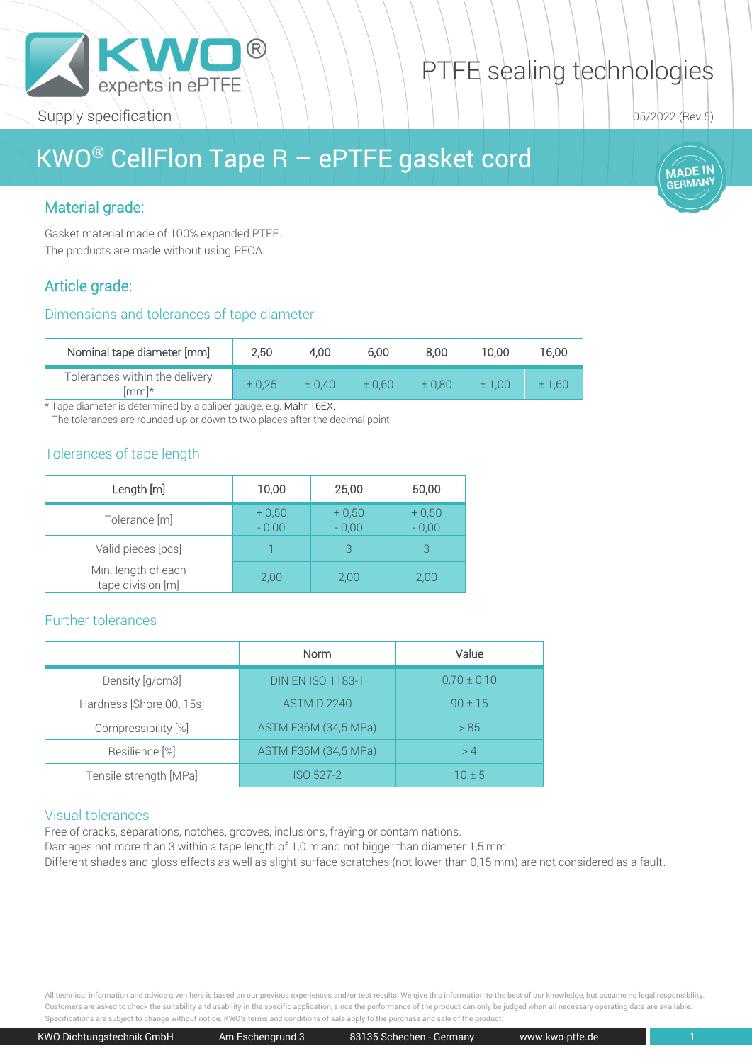

# PTFE sealing technologies

05/2022 (Rev.5)

**MADE IN NIADL ...**<br>GERMANY

# KWO® CellFlon Tape R – ePTFE gasket cord

# Material grade:

Gasket material made of 100% expanded PTFE. The products are made without using PFOA.

# Article grade:

#### Dimensions and tolerances of tape diameter

| Nominal tape diameter [mm]              | 2,50 | 4.00  | 6.00  | 8,00  | 10.00 | 16.00  |
|-----------------------------------------|------|-------|-------|-------|-------|--------|
| Tolerances within the delivery<br>lmml* |      | ±0.40 | ±0.60 | ±0.80 | ±1.00 | ± 1.60 |

\* Tape diameter is determined by a caliper gauge, e.g. Mahr 16EX.

The tolerances are rounded up or down to two places after the decimal point.

### Tolerances of tape length

| Length [m]                               | 10,00              | 25,00              | 50,00              |
|------------------------------------------|--------------------|--------------------|--------------------|
| Tolerance [m]                            | $+0,50$<br>$-0.00$ | $+0,50$<br>$-0,00$ | $+0,50$<br>$-0,00$ |
| Valid pieces [pcs]                       |                    |                    | 3                  |
| Min. length of each<br>tape division [m] | 2,00               | 2,00               | 2,00               |

#### Further tolerances

|                          | Norm                     | Value           |  |
|--------------------------|--------------------------|-----------------|--|
| Density [g/cm3]          | <b>DIN EN ISO 1183-1</b> | $0.70 \pm 0.10$ |  |
| Hardness [Shore 00, 15s] | <b>ASTM D 2240</b>       | $90 \pm 15$     |  |
| Compressibility [%]      | ASTM F36M (34,5 MPa)     | > 85            |  |
| Resilience [%]           | ASTM F36M (34,5 MPa)     | >4              |  |
| Tensile strength [MPa]   | ISO 527-2                | $10 \pm 5$      |  |

#### Visual tolerances

Free of cracks, separations, notches, grooves, inclusions, fraying or contaminations.

Damages not more than 3 within a tape length of 1,0 m and not bigger than diameter 1,5 mm.

Different shades and gloss effects as well as slight surface scratches (not lower than 0,15 mm) are not considered as a fault.

All technical information and advice given here is based on our previous experiences and/or test results. We give this information to the best of our knowledge, but assume no legal responsibility. Customers are asked to check the suitability and usability in the specific application, since the performance of the product can only be judged when all necessary operating data are available. Specifications are subject to change without notice. KWO's terms and conditions of sale apply to the purchase and sale of the product.